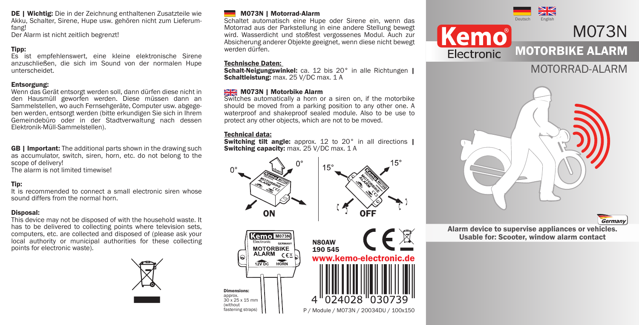DE | Wichtig: Die in der Zeichnung enthaltenen Zusatzteile wie Akku, Schalter, Sirene, Hupe usw. gehören nicht zum Lieferumfang!

Der Alarm ist nicht zeitlich begrenzt!

### Tipp:

Es ist empfehlenswert, eine kleine elektronische Sirene anzuschließen, die sich im Sound von der normalen Hupe unterscheidet.

#### Entsorgung:

Wenn das Gerät entsorgt werden soll, dann dürfen diese nicht in den Hausmüll geworfen werden. Diese müssen dann an Sammelstellen, wo auch Fernsehgeräte, Computer usw. abgegeben werden, entsorgt werden (bitte erkundigen Sie sich in Ihrem Gemeindebüro oder in der Stadtverwaltung nach dessen Elektronik-Müll-Sammelstellen).

**GB | Important:** The additional parts shown in the drawing such as accumulator, switch, siren, horn, etc. do not belong to the scope of delivery!

The alarm is not limited timewise!

#### Tip:

It is recommended to connect a small electronic siren whose sound differs from the normal horn.

#### Disposal:

This device may not be disposed of with the household waste. It has to be delivered to collecting points where television sets, computers, etc. are collected and disposed of (please ask your local authority or municipal authorities for these collecting points for electronic waste).



#### M073N | Motorrad-Alarm

Schaltet automatisch eine Hupe oder Sirene ein, wenn das Motorrad aus der Parkstellung in eine andere Stellung bewegt wird. Wasserdicht und stoßfest vergossenes Modul. Auch zur Absicherung anderer Objekte geeignet, wenn diese nicht bewegt werden dürfen.

#### Technische Daten:

Schalt-Neigungswinkel: ca. 12 bis 20° in alle Richtungen | Schaltleistung: max. 25 V/DC max. 1 A

#### **MOZ3N | Motorbike Alarm**

Switches automatically a horn or a siren on, if the motorbike should be moved from a parking position to any other one. A waterproof and shakeproof sealed module. Also to be use to protect any other objects, which are not to be moved.

#### Technical data:

**Switching tilt angle:** approx. 12 to 20° in all directions | Switching capacity: max. 25 V/DC max. 1 A









# MOTORRAD-ALARM



Germany

Alarm device to supervise appliances or vehicles. Usable for: Scooter, window alarm contact